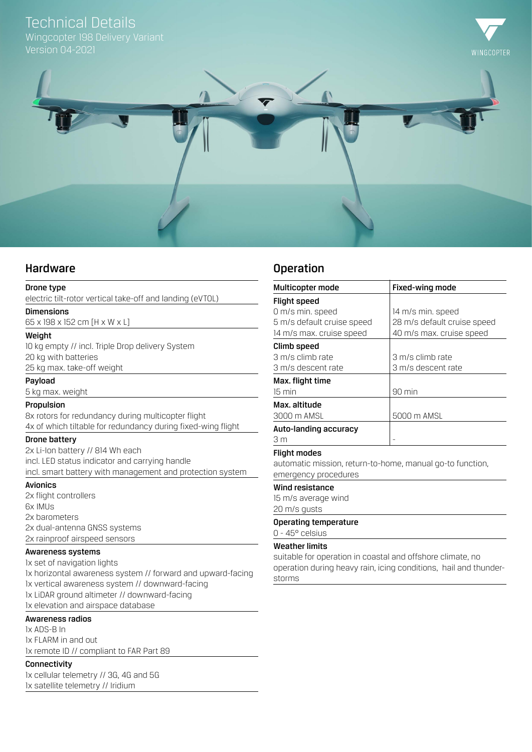# Technical Details

Wingcopter 198 Delivery Variant Version 04-2021





## Hardware

## Drone type

electric tilt-rotor vertical take-off and landing (eVTOL)

Dimensions

65 x 198 x 152 cm [H x W x L]

## Weight

10 kg empty // incl. Triple Drop delivery System 20 kg with batteries 25 kg max. take-off weight

#### Payload

5 kg max. weight

## Propulsion

8x rotors for redundancy during multicopter flight 4x of which tiltable for redundancy during fixed-wing flight

## Drone battery

2x Li-Ion battery // 814 Wh each incl. LED status indicator and carrying handle incl. smart battery with management and protection system

## Avionics

2x flight controllers 6x IMUs 2x barometers 2x dual-antenna GNSS systems 2x rainproof airspeed sensors

## Awareness systems

1x set of navigation lights 1x horizontal awareness system // forward and upward-facing 1x vertical awareness system // downward-facing 1x LiDAR ground altimeter // downward-facing 1x elevation and airspace database

## Awareness radios

1x ADS-B In 1x FLARM in and out 1x remote ID // compliant to FAR Part 89

## Connectivity

1x cellular telemetry // 3G, 4G and 5G 1x satellite telemetry // Iridium

## Operation

| Multicopter mode           | Fixed-wing mode             |  |  |
|----------------------------|-----------------------------|--|--|
| <b>Flight speed</b>        |                             |  |  |
| 0 m/s min. speed           | 14 m/s min. speed           |  |  |
| 5 m/s default cruise speed | 28 m/s default cruise speed |  |  |
| 14 m/s max. cruise speed   | 40 m/s max. cruise speed    |  |  |
| Climb speed                |                             |  |  |
| 3 m/s climb rate           | 3 m/s climb rate            |  |  |
| 3 m/s descent rate         | 3 m/s descent rate          |  |  |
| Max. flight time           |                             |  |  |
| 15 min                     | $90$ min                    |  |  |
| Max. altitude              |                             |  |  |
| 3000 m AMSL                | 5000 m AMSL                 |  |  |
| Auto-landing accuracy      |                             |  |  |
| 3 m                        |                             |  |  |

#### Flight modes

automatic mission, return-to-home, manual go-to function, emergency procedures

## Wind resistance

15 m/s average wind

20 m/s gusts

## Operating temperature 0 - 45° celsius

## Weather limits

suitable for operation in coastal and offshore climate, no operation during heavy rain, icing conditions, hail and thunderstorms